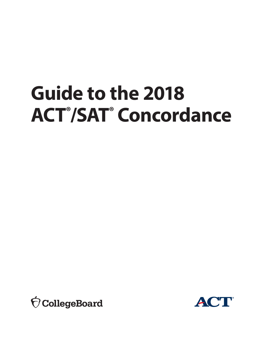# **Guide to the 2018 ACT® /SAT® Concordance**



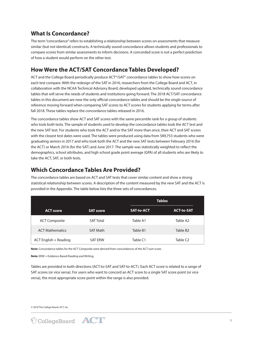## **What Is Concordance?**

The term "concordance" refers to establishing a relationship between scores on assessments that measure similar (but not identical) constructs. A technically sound concordance allows students and professionals to compare scores from similar assessments to inform decisions. A concorded score is not a perfect prediction of how a student would perform on the other test.

## **How Were the ACT/SAT Concordance Tables Developed?**

ACT and the College Board periodically produce ACT®/SAT® concordance tables to show how scores on each test compare. With the redesign of the SAT in 2016, researchers from the College Board and ACT, in collaboration with the NCAA Technical Advisory Board, developed updated, technically sound concordance tables that will serve the needs of students and institutions going forward. The 2018 ACT/SAT concordance tables in this document are now the only official concordance tables and should be the single source of reference moving forward when comparing SAT scores to ACT scores for students applying for terms after fall 2018. These tables replace the concordance tables released in 2016.

The concordance tables show ACT and SAT scores with the same percentile rank for a group of students who took both tests. The sample of students used to develop the concordance tables took the ACT test and the new SAT test. For students who took the ACT and/or the SAT more than once, their ACT and SAT scores with the closest test dates were used. The tables were produced using data from 589,753 students who were graduating seniors in 2017 and who took both the ACT and the new SAT tests between February 2016 (for the ACT) or March 2016 (for the SAT) and June 2017. The sample was statistically weighted to reflect the demographics, school attributes, and high school grade point average (GPA) of all students who are likely to take the ACT, SAT, or both tests.

## **Which Concordance Tables Are Provided?**

The concordance tables are based on ACT and SAT tests that cover similar content and show a strong statistical relationship between scores. A description of the content measured by the new SAT and the ACT is provided in the Appendix. The table below lists the three sets of concordances.

|                        |                  | <b>Tables</b>     |                      |
|------------------------|------------------|-------------------|----------------------|
| <b>ACT</b> score       | <b>SAT score</b> | <b>SAT-to-ACT</b> | <b>ACT-to-SAT</b>    |
| <b>ACT Composite</b>   | <b>SAT Total</b> | Table A1          | Table A2             |
| <b>ACT Mathematics</b> | <b>SAT Math</b>  | Table B1          | Table B <sub>2</sub> |
| ACT English + Reading  | <b>SAT ERW</b>   | Table C1          | Table C <sub>2</sub> |

**Note:** Concordance tables for the ACT Composite were derived from concordances of the ACT sum score.

**Note:** ERW = Evidence-Based Reading and Writing.

Tables are provided in both directions (ACT-to-SAT and SAT-to-ACT). Each ACT score is related to a range of SAT scores (or vice versa). For users who want to concord an ACT score to a single SAT score point (or vice versa), the most appropriate score point within the range is also provided.

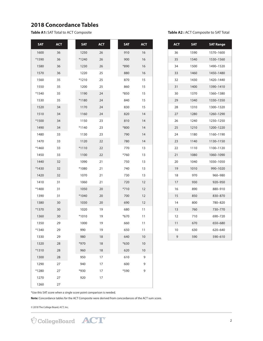## **2018 Concordance Tables**

**Table A1:** SAT Total to ACT Composite **Table A2 :** ACT Composite to SAT Total

| <b>SAT</b> | <b>ACT</b> | <b>SAT</b> | <b>ACT</b> | <b>SAT</b> | <b>ACT</b> |
|------------|------------|------------|------------|------------|------------|
| 1600       | 36         | 1250       | 26         | 910        | 16         |
| *1590      | 36         | *1240      | 26         | 900        | 16         |
| 1580       | 36         | 1230       | 26         | *890       | 16         |
| 1570       | 36         | 1220       | 25         | 880        | 16         |
| 1560       | 35         | *1210      | 25         | 870        | 15         |
| 1550       | 35         | 1200       | 25         | 860        | 15         |
| *1540      | 35         | 1190       | 24         | *850       | 15         |
| 1530       | 35         | *1180      | 24         | 840        | 15         |
| 1520       | 34         | 1170       | 24         | 830        | 15         |
| 1510       | 34         | 1160       | 24         | 820        | 14         |
| *1500      | 34         | 1150       | 23         | 810        | 14         |
| 1490       | 34         | *1140      | 23         | *800       | 14         |
| 1480       | 33         | 1130       | 23         | 790        | 14         |
| 1470       | 33         | 1120       | 22         | 780        | 14         |
| *1460      | 33         | $*1110$    | 22         | 770        | 13         |
| 1450       | 33         | 1100       | 22         | *760       | 13         |
| 1440       | 32         | 1090       | 21         | 750        | 13         |
| *1430      | 32         | *1080      | 21         | 740        | 13         |
| 1420       | 32         | 1070       | 21         | 730        | 13         |
| 1410       | 31         | 1060       | 21         | 720        | 12         |
| *1400      | 31         | 1050       | 20         | $*710$     | 12         |
| 1390       | 31         | *1040      | 20         | 700        | 12         |
| 1380       | 30         | 1030       | 20         | 690        | 12         |
| *1370      | 30         | 1020       | 19         | 680        | 11         |
| 1360       | 30         | *1010      | 19         | *670       | 11         |
| 1350       | 29         | 1000       | 19         | 660        | 11         |
| *1340      | 29         | 990        | 19         | 650        | 11         |
| 1330       | 29         | 980        | 18         | 640        | 10         |
| 1320       | 28         | *970       | 18         | *630       | 10         |
| *1310      | 28         | 960        | 18         | 620        | 10         |
| 1300       | 28         | 950        | 17         | 610        | 9          |
| 1290       | 27         | 940        | 17         | 600        | 9          |
| *1280      | 27         | *930       | 17         | *590       | 9          |
| 1270       | 27         | 920        | 17         |            |            |
| 1260       | 27         |            |            |            |            |

| ACT | <b>SAT</b> | <b>SAT Range</b> |
|-----|------------|------------------|
| 36  | 1590       | 1570-1600        |
| 35  | 1540       | 1530-1560        |
| 34  | 1500       | 1490-1520        |
| 33  | 1460       | 1450-1480        |
| 32  | 1430       | 1420-1440        |
| 31  | 1400       | 1390-1410        |
| 30  | 1370       | 1360-1380        |
| 29  | 1340       | 1330-1350        |
| 28  | 1310       | 1300-1320        |
| 27  | 1280       | 1260-1290        |
| 26  | 1240       | 1230-1250        |
| 25  | 1210       | 1200-1220        |
| 24  | 1180       | 1160-1190        |
| 23  | 1140       | 1130-1150        |
| 22  | 1110       | 1100-1120        |
| 21  | 1080       | 1060-1090        |
| 20  | 1040       | 1030-1050        |
| 19  | 1010       | 990-1020         |
| 18  | 970        | 960-980          |
| 17  | 930        | 920-950          |
| 16  | 890        | 880-910          |
| 15  | 850        | 830-870          |
| 14  | 800        | 780-820          |
| 13  | 760        | 730-770          |
| 12  | 710        | 690-720          |
| 11  | 670        | 650-680          |
| 10  | 630        | 620-640          |
| 9   | 590        | 590-610          |

\*Use this SAT score when a single score point comparison is needed.

**Note:** Concordance tables for the ACT Composite were derived from concordances of the ACT sum score.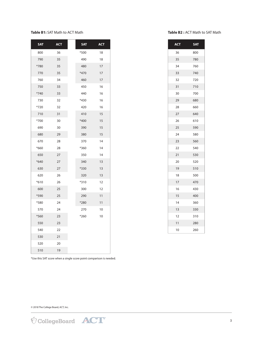#### **Table B1:** SAT Math to ACT Math

| <b>SAT</b> | <b>ACT</b> | <b>SAT</b> | <b>ACT</b> |
|------------|------------|------------|------------|
| 800        | 36         | *500       | 18         |
| 790        | 35         | 490        | 18         |
| *780       | 35         | 480        | 17         |
| 770        | 35         | $*470$     | 17         |
| 760        | 34         | 460        | 17         |
| 750        | 33         | 450        | 16         |
| $*740$     | 33         | 440        | 16         |
| 730        | 32         | *430       | 16         |
| $*720$     | 32         | 420        | 16         |
| 710        | 31         | 410        | 15         |
| *700       | 30         | *400       | 15         |
| 690        | 30         | 390        | 15         |
| 680        | 29         | 380        | 15         |
| 670        | 28         | 370        | 14         |
| *660       | 28         | *360       | 14         |
| 650        | 27         | 350        | 14         |
| $*640$     | 27         | 340        | 13         |
| 630        | 27         | *330       | 13         |
| 620        | 26         | 320        | 13         |
| $*610$     | 26         | $*310$     | 12         |
| 600        | 25         | 300        | 12         |
| *590       | 25         | 290        | 11         |
| $*580$     | 24         | *280       | 11         |
| 570        | 24         | 270        | 10         |
| *560       | 23         | $*260$     | 10         |
| 550        | 23         |            |            |
| 540        | 22         |            |            |
| 530        | 21         |            |            |
| 520        | 20         |            |            |
| 510        | 19         |            |            |
|            |            |            |            |

#### **Table B2 :** ACT Math to SAT Math

| <b>ACT</b> | <b>SAT</b> |
|------------|------------|
| 36         | 800        |
| 35         | 780        |
| 34         | 760        |
| 33         | 740        |
| 32         | 720        |
| 31         | 710        |
| 30         | 700        |
| 29         | 680        |
| 28         | 660        |
| 27         | 640        |
| 26         | 610        |
| 25         | 590        |
| 24         | 580        |
| 23         | 560        |
| 22         | 540        |
| 21         | 530        |
| 20         | 520        |
| 19         | 510        |
| 18         | 500        |
| 17         | 470        |
| 16         | 430        |
| 15         | 400        |
| 14         | 360        |
| 13         | 330        |
| 12         | 310        |
| 11         | 280        |
| 10         | 260        |

\*Use this SAT score when a single score point comparison is needed.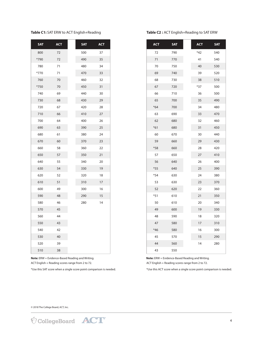### **Table C1:** SAT ERW to ACT English+Reading

| <b>SAT</b> | <b>ACT</b> | <b>SAT</b> | <b>ACT</b> |
|------------|------------|------------|------------|
| 800        | 72         | 500        | 37         |
| *790       | 72         | 490        | 35         |
| 780        | 71         | 480        | 34         |
| *770       | 71         | 470        | 33         |
| 760        | 70         | 460        | 32         |
| *750       | 70         | 450        | 31         |
| 740        | 69         | 440        | 30         |
| 730        | 68         | 430        | 29         |
| 720        | 67         | 420        | 28         |
| 710        | 66         | 410        | 27         |
| 700        | 64         | 400        | 26         |
| 690        | 63         | 390        | 25         |
| 680        | 61         | 380        | 24         |
| 670        | 60         | 370        | 23         |
| 660        | 58         | 360        | 22         |
| 650        | 57         | 350        | 21         |
| 640        | 55         | 340        | 20         |
| 630        | 54         | 330        | 19         |
| 620        | 52         | 320        | 18         |
| 610        | 51         | 310        | 17         |
| 600        | 49         | 300        | 16         |
| 590        | 48         | 290        | 15         |
| 580        | 46         | 280        | 14         |
| 570        | 45         |            |            |
| 560        | 44         |            |            |
| 550        | 43         |            |            |
| 540        | 42         |            |            |
| 530        | 40         |            |            |
| 520        | 39         |            |            |
| 510        | 38         |            |            |

**Table C2 :** ACT English+Reading to SAT ERW

| <b>ACT</b> | <b>SAT</b> | ACT   | <b>SAT</b> |
|------------|------------|-------|------------|
| 72         | 790        | $*42$ | 540        |
| 71         | 770        | 41    | 540        |
| 70         | 750        | 40    | 530        |
| 69         | 740        | 39    | 520        |
| 68         | 730        | 38    | 510        |
| 67         | 720        | $*37$ | 500        |
| 66         | 710        | 36    | 500        |
| 65         | 700        | 35    | 490        |
| $*64$      | 700        | 34    | 480        |
| 63         | 690        | 33    | 470        |
| 62         | 680        | 32    | 460        |
| $*61$      | 680        | 31    | 450        |
| 60         | 670        | 30    | 440        |
| 59         | 660        | 29    | 430        |
| $*58$      | 660        | 28    | 420        |
| 57         | 650        | 27    | 410        |
| 56         | 640        | 26    | 400        |
| $*55$      | 640        | 25    | 390        |
| $*54$      | 630        | 24    | 380        |
| 53         | 630        | 23    | 370        |
| 52         | 620        | 22    | 360        |
| $*51$      | 610        | 21    | 350        |
| 50         | 610        | 20    | 340        |
| 49         | 600        | 19    | 330        |
| 48         | 590        | 18    | 320        |
| 47         | 580        | 17    | 310        |
| $*46$      | 580        | 16    | 300        |
| 45         | 570        | 15    | 290        |
| 44         | 560        | 14    | 280        |
| 43         | 550        |       |            |

**Note:** ERW = Evidence-Based Reading and Writing. ACT English + Reading scores range from 2 to 72. ACT English + Reading scores range from 2 to 72.

**Note:** ERW = Evidence-Based Reading and Writing.

\*Use this SAT score when a single score point comparison is needed. \*Use this ACT score when a single score point comparison is needed.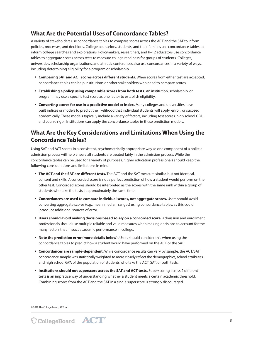## **What Are the Potential Uses of Concordance Tables?**

A variety of stakeholders use concordance tables to compare scores across the ACT and the SAT to inform policies, processes, and decisions. College counselors, students, and their families use concordance tables to inform college searches and explorations. Policymakers, researchers, and K–12 educators use concordance tables to aggregate scores across tests to measure college readiness for groups of students. Colleges, universities, scholarship organizations, and athletic conferences also use concordances in a variety of ways, including determining eligibility for a program or scholarship.

- § **Comparing SAT and ACT scores across different students.** When scores from either test are accepted, concordance tables can help institutions or other stakeholders who need to compare scores.
- § **Establishing a policy using comparable scores from both tests.** An institution, scholarship, or program may use a specific test score as one factor to establish eligibility.
- § **Converting scores for use in a predictive model or index.** Many colleges and universities have built indices or models to predict the likelihood that individual students will apply, enroll, or succeed academically. These models typically include a variety of factors, including test scores, high school GPA, and course rigor. Institutions can apply the concordance tables in these prediction models.

## **What Are the Key Considerations and Limitations When Using the Concordance Tables?**

Using SAT and ACT scores in a consistent, psychometrically appropriate way as one component of a holistic admission process will help ensure all students are treated fairly in the admission process. While the concordance tables can be used for a variety of purposes, higher education professionals should keep the following considerations and limitations in mind:

- § **The ACT and the SAT are different tests.** The ACT and the SAT measure similar, but not identical, content and skills. A concorded score is not a perfect prediction of how a student would perform on the other test. Concorded scores should be interpreted as the scores with the same rank within a group of students who take the tests at approximately the same time.
- § **Concordances are used to compare individual scores, not aggregate scores.** Users should avoid converting aggregate scores (e.g., mean, median, ranges) using concordance tables, as this could introduce additional sources of error.
- § **Users should avoid making decisions based solely on a concorded score.** Admission and enrollment professionals should use multiple reliable and valid measures when making decisions to account for the many factors that impact academic performance in college.
- **Note the prediction error (more details below).** Users should consider this when using the concordance tables to predict how a student would have performed on the ACT or the SAT.
- § **Concordances are sample-dependent.** While concordance results can vary by sample, the ACT/SAT concordance sample was statistically weighted to more closely reflect the demographics, school attributes, and high school GPA of the population of students who take the ACT, SAT, or both tests.
- *Institutions should not superscore across the SAT and ACT tests. Superscoring across 2 different* tests is an imprecise way of understanding whether a student meets a certain academic threshold. Combining scores from the ACT and the SAT in a single superscore is strongly discouraged.

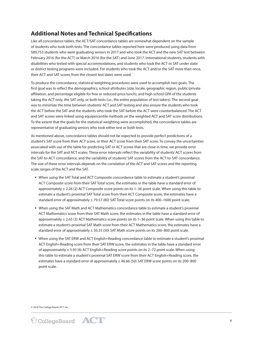## **Additional Notes and Technical Specifcations**

Like all concordance tables, the ACT/SAT concordance tables are somewhat dependent on the sample of students who took both tests. The concordance tables reported here were produced using data from 589,753 students who were graduating seniors in 2017 and who took the ACT and the new SAT test between February 2016 (for the ACT) or March 2016 (for the SAT) and June 2017. International students, students with disabilities who tested with special accommodations, and students who took the ACT or SAT under state or district testing programs were included. For students who took the ACT and/or the SAT more than once, their ACT and SAT scores from the closest test dates were used.

To produce the concordance, statistical weighting procedures were used to accomplish two goals. The first goal was to reflect the demographics, school attributes (size, locale, geographic region, public/private affiliation, and percentage eligible for free or reduced-price lunch), and high school GPA of the students taking the ACT only, the SAT only, or both tests (i.e., the entire population of test takers). The second goal was to minimize the time between students' ACT and SAT testing and also ensure the students who took the ACT before the SAT and the students who took the SAT before the ACT were counterbalanced. The ACT and SAT scores were linked using equipercentile methods on the weighted ACT and SAT score distributions. To the extent that the goals for the statistical weighting were accomplished, the concordance tables are representative of graduating seniors who took either test or both tests.

As mentioned above, concordance tables should not be expected to provide perfect predictions of a student's SAT score from their ACT score, or their ACT score from their SAT score. To convey the uncertainties associated with use of the table for predicting SAT or ACT scores that are close in time, we provide error intervals for the SAT and ACT scales. These error intervals reflect the variability of students' ACT scores from the SAT-to-ACT concordance, and the variability of students' SAT scores from the ACT-to-SAT concordance. The size of these error intervals depends on the correlation of the ACT and SAT scores and the reporting scale ranges of the ACT and the SAT.

- § When using the SAT Total and ACT Composite concordance table to estimate a student's proximal ACT Composite score from their SAT Total score, the estimates in the table have a standard error of approximately ± 2.26 (2) ACT Composite score points on its 1–36 point scale. When using this table to estimate a student's proximal SAT Total score from their ACT Composite score, the estimates have a standard error of approximately ± 79.57 (80) SAT Total score points on its 400–1600 point scale.
- § When using the SAT Math and ACT Mathematics concordance table to estimate a student's proximal ACT Mathematics score from their SAT Math score, the estimates in the table have a standard error of approximately  $\pm$  2.65 (3) ACT Mathematics score points on its 1–36 point scale. When using this table to estimate a student's proximal SAT Math score from their ACT Mathematics score, the estimates have a standard error of approximately ± 50.33 (50) SAT Math score points on its 200–800 point scale.
- § When using the SAT ERW and ACT English+Reading concordance table to estimate a student's proximal ACT English+Reading score from their SAT ERW score, the estimates in the table have a standard error of approximately  $\pm$  5.93 (6) ACT English+Reading score points on its 2–72 point scale. When using this table to estimate a student's proximal SAT ERW score from their ACT English+Reading score, the estimates have a standard error of approximately ± 46.66 (50) SAT ERW score points on its 200-800 point scale.